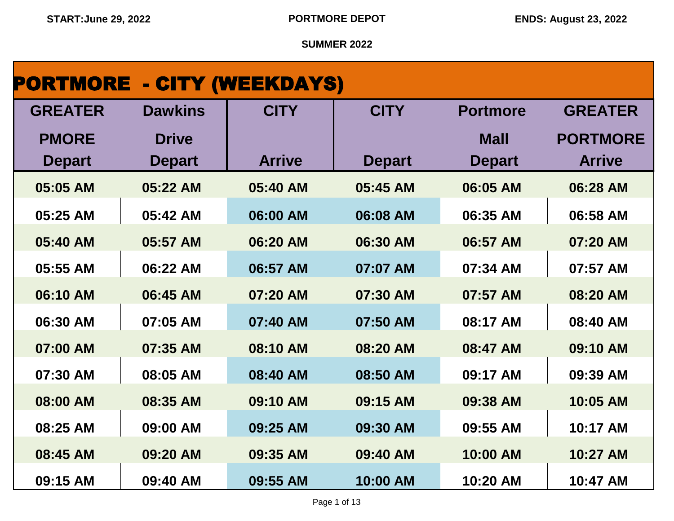| <b>PORTMORE - CITY (WEEKDAYS)</b> |                |               |               |                 |                 |
|-----------------------------------|----------------|---------------|---------------|-----------------|-----------------|
| <b>GREATER</b>                    | <b>Dawkins</b> | <b>CITY</b>   | <b>CITY</b>   | <b>Portmore</b> | <b>GREATER</b>  |
| <b>PMORE</b>                      | <b>Drive</b>   |               |               | <b>Mall</b>     | <b>PORTMORE</b> |
| <b>Depart</b>                     | <b>Depart</b>  | <b>Arrive</b> | <b>Depart</b> | <b>Depart</b>   | <b>Arrive</b>   |
| 05:05 AM                          | 05:22 AM       | 05:40 AM      | 05:45 AM      | 06:05 AM        | 06:28 AM        |
| 05:25 AM                          | 05:42 AM       | 06:00 AM      | 06:08 AM      | 06:35 AM        | 06:58 AM        |
| 05:40 AM                          | 05:57 AM       | 06:20 AM      | 06:30 AM      | 06:57 AM        | 07:20 AM        |
| 05:55 AM                          | 06:22 AM       | 06:57 AM      | 07:07 AM      | 07:34 AM        | 07:57 AM        |
| 06:10 AM                          | 06:45 AM       | 07:20 AM      | 07:30 AM      | 07:57 AM        | 08:20 AM        |
| 06:30 AM                          | 07:05 AM       | 07:40 AM      | 07:50 AM      | 08:17 AM        | 08:40 AM        |
| 07:00 AM                          | 07:35 AM       | 08:10 AM      | 08:20 AM      | 08:47 AM        | 09:10 AM        |
| 07:30 AM                          | 08:05 AM       | 08:40 AM      | 08:50 AM      | 09:17 AM        | 09:39 AM        |
| 08:00 AM                          | 08:35 AM       | 09:10 AM      | 09:15 AM      | 09:38 AM        | 10:05 AM        |
| 08:25 AM                          | 09:00 AM       | 09:25 AM      | 09:30 AM      | 09:55 AM        | 10:17 AM        |
| 08:45 AM                          | 09:20 AM       | 09:35 AM      | 09:40 AM      | 10:00 AM        | 10:27 AM        |
| 09:15 AM                          | 09:40 AM       | 09:55 AM      | 10:00 AM      | 10:20 AM        | 10:47 AM        |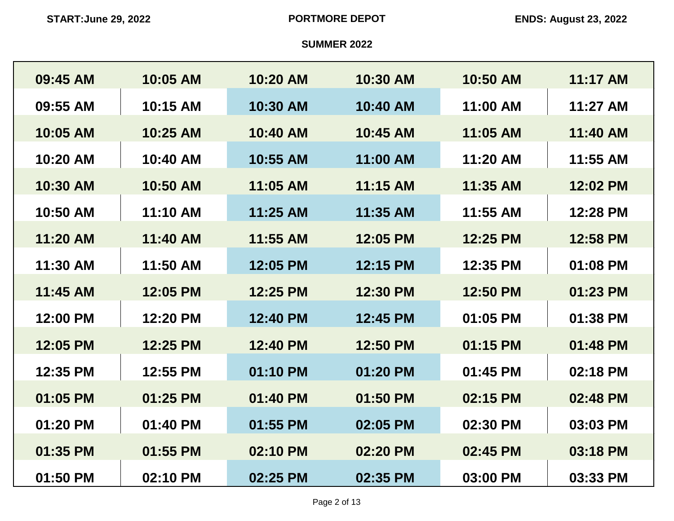| 09:45 AM | 10:05 AM | 10:20 AM | 10:30 AM | 10:50 AM | 11:17 AM |
|----------|----------|----------|----------|----------|----------|
| 09:55 AM | 10:15 AM | 10:30 AM | 10:40 AM | 11:00 AM | 11:27 AM |
| 10:05 AM | 10:25 AM | 10:40 AM | 10:45 AM | 11:05 AM | 11:40 AM |
| 10:20 AM | 10:40 AM | 10:55 AM | 11:00 AM | 11:20 AM | 11:55 AM |
| 10:30 AM | 10:50 AM | 11:05 AM | 11:15 AM | 11:35 AM | 12:02 PM |
| 10:50 AM | 11:10 AM | 11:25 AM | 11:35 AM | 11:55 AM | 12:28 PM |
| 11:20 AM | 11:40 AM | 11:55 AM | 12:05 PM | 12:25 PM | 12:58 PM |
| 11:30 AM | 11:50 AM | 12:05 PM | 12:15 PM | 12:35 PM | 01:08 PM |
| 11:45 AM | 12:05 PM | 12:25 PM | 12:30 PM | 12:50 PM | 01:23 PM |
| 12:00 PM | 12:20 PM | 12:40 PM | 12:45 PM | 01:05 PM | 01:38 PM |
| 12:05 PM | 12:25 PM | 12:40 PM | 12:50 PM | 01:15 PM | 01:48 PM |
| 12:35 PM | 12:55 PM | 01:10 PM | 01:20 PM | 01:45 PM | 02:18 PM |
| 01:05 PM | 01:25 PM | 01:40 PM | 01:50 PM | 02:15 PM | 02:48 PM |
| 01:20 PM | 01:40 PM | 01:55 PM | 02:05 PM | 02:30 PM | 03:03 PM |
| 01:35 PM | 01:55 PM | 02:10 PM | 02:20 PM | 02:45 PM | 03:18 PM |
| 01:50 PM | 02:10 PM | 02:25 PM | 02:35 PM | 03:00 PM | 03:33 PM |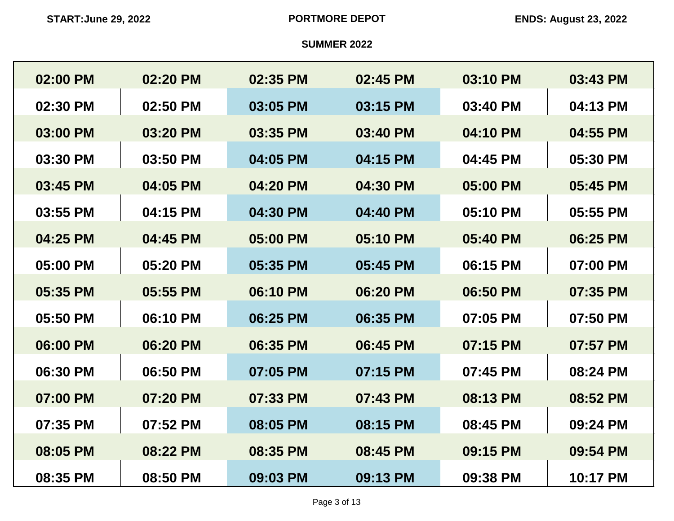| 02:00 PM | 02:20 PM | 02:35 PM | 02:45 PM | 03:10 PM | 03:43 PM |
|----------|----------|----------|----------|----------|----------|
| 02:30 PM | 02:50 PM | 03:05 PM | 03:15 PM | 03:40 PM | 04:13 PM |
| 03:00 PM | 03:20 PM | 03:35 PM | 03:40 PM | 04:10 PM | 04:55 PM |
| 03:30 PM | 03:50 PM | 04:05 PM | 04:15 PM | 04:45 PM | 05:30 PM |
| 03:45 PM | 04:05 PM | 04:20 PM | 04:30 PM | 05:00 PM | 05:45 PM |
| 03:55 PM | 04:15 PM | 04:30 PM | 04:40 PM | 05:10 PM | 05:55 PM |
| 04:25 PM | 04:45 PM | 05:00 PM | 05:10 PM | 05:40 PM | 06:25 PM |
| 05:00 PM | 05:20 PM | 05:35 PM | 05:45 PM | 06:15 PM | 07:00 PM |
| 05:35 PM | 05:55 PM | 06:10 PM | 06:20 PM | 06:50 PM | 07:35 PM |
| 05:50 PM | 06:10 PM | 06:25 PM | 06:35 PM | 07:05 PM | 07:50 PM |
| 06:00 PM | 06:20 PM | 06:35 PM | 06:45 PM | 07:15 PM | 07:57 PM |
| 06:30 PM | 06:50 PM | 07:05 PM | 07:15 PM | 07:45 PM | 08:24 PM |
| 07:00 PM | 07:20 PM | 07:33 PM | 07:43 PM | 08:13 PM | 08:52 PM |
| 07:35 PM | 07:52 PM | 08:05 PM | 08:15 PM | 08:45 PM | 09:24 PM |
| 08:05 PM | 08:22 PM | 08:35 PM | 08:45 PM | 09:15 PM | 09:54 PM |
| 08:35 PM | 08:50 PM | 09:03 PM | 09:13 PM | 09:38 PM | 10:17 PM |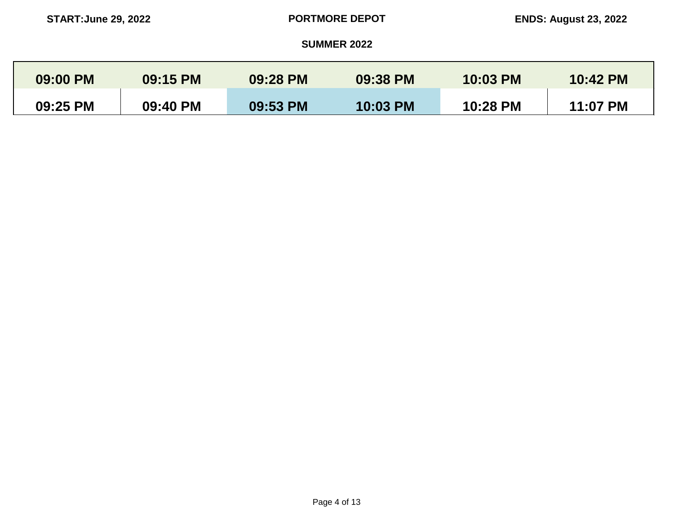| 09:00 PM | 09:15 PM | 09:28 PM | 09:38 PM        | 10:03 PM | 10:42 PM |
|----------|----------|----------|-----------------|----------|----------|
| 09:25 PM | 09:40 PM | 09:53 PM | <b>10:03 PM</b> | 10:28 PM | 11:07 PM |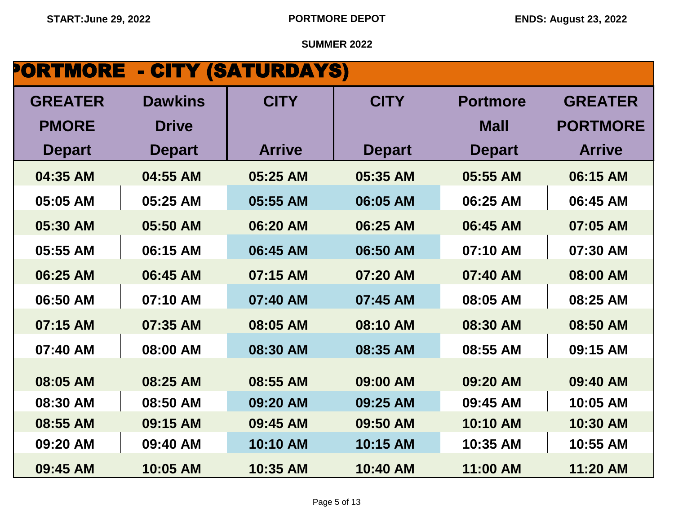# PORTMORE - CITY (SATURDAYS)

| <b>GREATER</b> | <b>Dawkins</b> | <b>CITY</b>   | <b>CITY</b>   | <b>Portmore</b> | <b>GREATER</b>  |
|----------------|----------------|---------------|---------------|-----------------|-----------------|
| <b>PMORE</b>   | <b>Drive</b>   |               |               | <b>Mall</b>     | <b>PORTMORE</b> |
|                |                |               |               |                 |                 |
| <b>Depart</b>  | <b>Depart</b>  | <b>Arrive</b> | <b>Depart</b> | <b>Depart</b>   | <b>Arrive</b>   |
| 04:35 AM       | 04:55 AM       | 05:25 AM      | 05:35 AM      | 05:55 AM        | 06:15 AM        |
| 05:05 AM       | 05:25 AM       | 05:55 AM      | 06:05 AM      | 06:25 AM        | 06:45 AM        |
| 05:30 AM       | 05:50 AM       | 06:20 AM      | 06:25 AM      | 06:45 AM        | 07:05 AM        |
| 05:55 AM       | 06:15 AM       | 06:45 AM      | 06:50 AM      | 07:10 AM        | 07:30 AM        |
| 06:25 AM       | 06:45 AM       | 07:15 AM      | 07:20 AM      | 07:40 AM        | 08:00 AM        |
| 06:50 AM       | 07:10 AM       | 07:40 AM      | 07:45 AM      | 08:05 AM        | 08:25 AM        |
| 07:15 AM       | 07:35 AM       | 08:05 AM      | 08:10 AM      | 08:30 AM        | 08:50 AM        |
| 07:40 AM       | 08:00 AM       | 08:30 AM      | 08:35 AM      | 08:55 AM        | 09:15 AM        |
|                |                |               |               |                 |                 |
| 08:05 AM       | 08:25 AM       | 08:55 AM      | 09:00 AM      | 09:20 AM        | 09:40 AM        |
| 08:30 AM       | 08:50 AM       | 09:20 AM      | 09:25 AM      | 09:45 AM        | 10:05 AM        |
| 08:55 AM       | 09:15 AM       | 09:45 AM      | 09:50 AM      | 10:10 AM        | 10:30 AM        |
| 09:20 AM       | 09:40 AM       | 10:10 AM      | 10:15 AM      | 10:35 AM        | 10:55 AM        |
| 09:45 AM       | 10:05 AM       | 10:35 AM      | 10:40 AM      | 11:00 AM        | 11:20 AM        |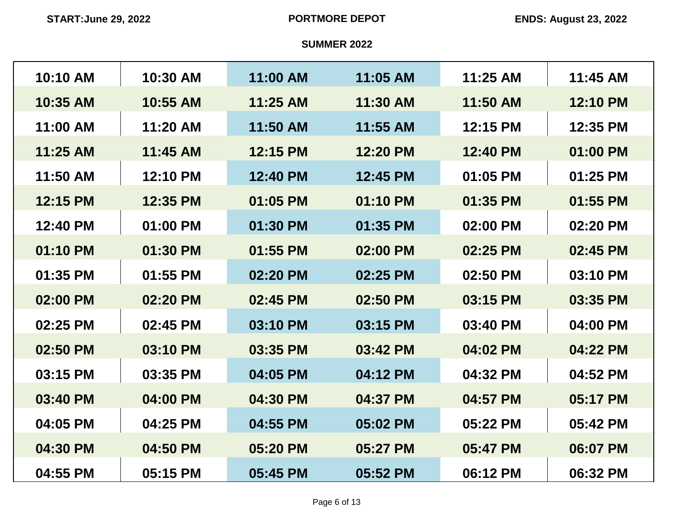| 10:10 AM | 10:30 AM | 11:00 AM | 11:05 AM | 11:25 AM | 11:45 AM |
|----------|----------|----------|----------|----------|----------|
| 10:35 AM | 10:55 AM | 11:25 AM | 11:30 AM | 11:50 AM | 12:10 PM |
| 11:00 AM | 11:20 AM | 11:50 AM | 11:55 AM | 12:15 PM | 12:35 PM |
| 11:25 AM | 11:45 AM | 12:15 PM | 12:20 PM | 12:40 PM | 01:00 PM |
| 11:50 AM | 12:10 PM | 12:40 PM | 12:45 PM | 01:05 PM | 01:25 PM |
| 12:15 PM | 12:35 PM | 01:05 PM | 01:10 PM | 01:35 PM | 01:55 PM |
| 12:40 PM | 01:00 PM | 01:30 PM | 01:35 PM | 02:00 PM | 02:20 PM |
| 01:10 PM | 01:30 PM | 01:55 PM | 02:00 PM | 02:25 PM | 02:45 PM |
| 01:35 PM | 01:55 PM | 02:20 PM | 02:25 PM | 02:50 PM | 03:10 PM |
| 02:00 PM | 02:20 PM | 02:45 PM | 02:50 PM | 03:15 PM | 03:35 PM |
| 02:25 PM | 02:45 PM | 03:10 PM | 03:15 PM | 03:40 PM | 04:00 PM |
| 02:50 PM | 03:10 PM | 03:35 PM | 03:42 PM | 04:02 PM | 04:22 PM |
| 03:15 PM | 03:35 PM | 04:05 PM | 04:12 PM | 04:32 PM | 04:52 PM |
| 03:40 PM | 04:00 PM | 04:30 PM | 04:37 PM | 04:57 PM | 05:17 PM |
| 04:05 PM | 04:25 PM | 04:55 PM | 05:02 PM | 05:22 PM | 05:42 PM |
| 04:30 PM | 04:50 PM | 05:20 PM | 05:27 PM | 05:47 PM | 06:07 PM |
| 04:55 PM | 05:15 PM | 05:45 PM | 05:52 PM | 06:12 PM | 06:32 PM |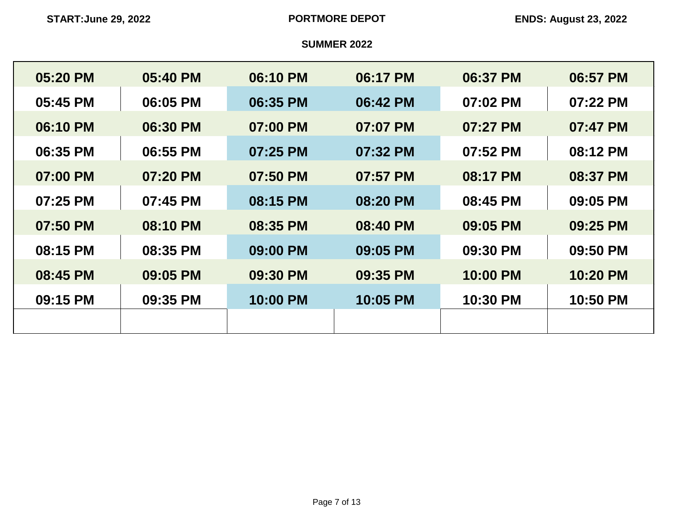| 05:20 PM | 05:40 PM | 06:10 PM | 06:17 PM | 06:37 PM | 06:57 PM |
|----------|----------|----------|----------|----------|----------|
| 05:45 PM | 06:05 PM | 06:35 PM | 06:42 PM | 07:02 PM | 07:22 PM |
| 06:10 PM | 06:30 PM | 07:00 PM | 07:07 PM | 07:27 PM | 07:47 PM |
| 06:35 PM | 06:55 PM | 07:25 PM | 07:32 PM | 07:52 PM | 08:12 PM |
| 07:00 PM | 07:20 PM | 07:50 PM | 07:57 PM | 08:17 PM | 08:37 PM |
| 07:25 PM | 07:45 PM | 08:15 PM | 08:20 PM | 08:45 PM | 09:05 PM |
| 07:50 PM | 08:10 PM | 08:35 PM | 08:40 PM | 09:05 PM | 09:25 PM |
| 08:15 PM | 08:35 PM | 09:00 PM | 09:05 PM | 09:30 PM | 09:50 PM |
| 08:45 PM | 09:05 PM | 09:30 PM | 09:35 PM | 10:00 PM | 10:20 PM |
| 09:15 PM | 09:35 PM | 10:00 PM | 10:05 PM | 10:30 PM | 10:50 PM |
|          |          |          |          |          |          |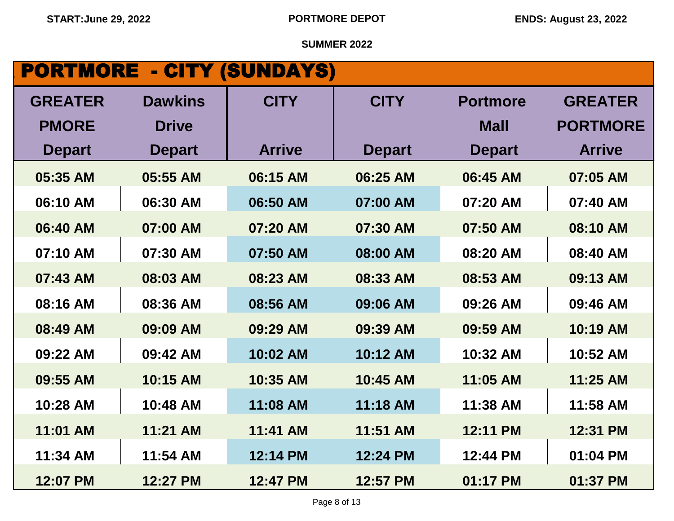# **PORTMORE - CITY (SUNDAYS)**

| <b>GREATER</b> | <b>Dawkins</b> | <b>CITY</b>   | <b>CITY</b>   | <b>Portmore</b> | <b>GREATER</b>  |
|----------------|----------------|---------------|---------------|-----------------|-----------------|
| <b>PMORE</b>   | <b>Drive</b>   |               |               | <b>Mall</b>     | <b>PORTMORE</b> |
| <b>Depart</b>  | <b>Depart</b>  | <b>Arrive</b> | <b>Depart</b> | <b>Depart</b>   | <b>Arrive</b>   |
| 05:35 AM       | 05:55 AM       | 06:15 AM      | 06:25 AM      | 06:45 AM        | 07:05 AM        |
| 06:10 AM       | 06:30 AM       | 06:50 AM      | 07:00 AM      | 07:20 AM        | 07:40 AM        |
| 06:40 AM       | 07:00 AM       | 07:20 AM      | 07:30 AM      | 07:50 AM        | 08:10 AM        |
| 07:10 AM       | 07:30 AM       | 07:50 AM      | 08:00 AM      | 08:20 AM        | 08:40 AM        |
| 07:43 AM       | 08:03 AM       | 08:23 AM      | 08:33 AM      | 08:53 AM        | 09:13 AM        |
| 08:16 AM       | 08:36 AM       | 08:56 AM      | 09:06 AM      | 09:26 AM        | 09:46 AM        |
| 08:49 AM       | 09:09 AM       | 09:29 AM      | 09:39 AM      | 09:59 AM        | 10:19 AM        |
| 09:22 AM       | 09:42 AM       | 10:02 AM      | 10:12 AM      | 10:32 AM        | 10:52 AM        |
| 09:55 AM       | 10:15 AM       | 10:35 AM      | 10:45 AM      | 11:05 AM        | 11:25 AM        |
| 10:28 AM       | 10:48 AM       | 11:08 AM      | 11:18 AM      | 11:38 AM        | 11:58 AM        |
| 11:01 AM       | 11:21 AM       | 11:41 AM      | 11:51 AM      | 12:11 PM        | 12:31 PM        |
| 11:34 AM       | 11:54 AM       | 12:14 PM      | 12:24 PM      | 12:44 PM        | 01:04 PM        |
| 12:07 PM       | 12:27 PM       | 12:47 PM      | 12:57 PM      | 01:17 PM        | 01:37 PM        |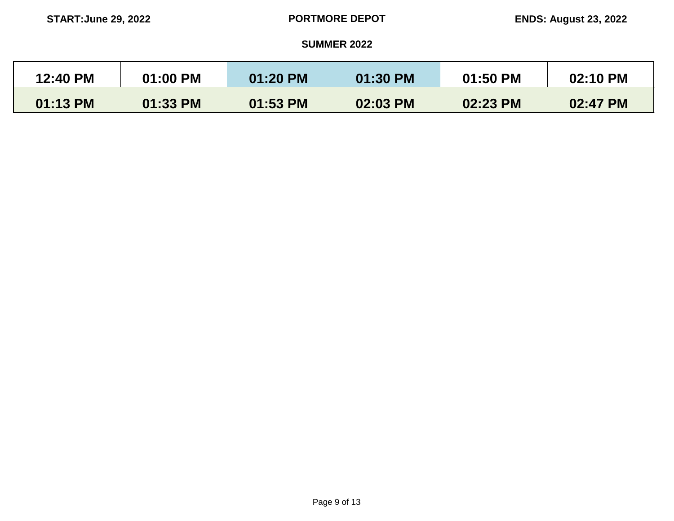| 12:40 PM | 01:00 PM | 01:20 PM | 01:30 PM | 01:50 PM | 02:10 PM |
|----------|----------|----------|----------|----------|----------|
| 01:13 PM | 01:33 PM | 01:53 PM | 02:03 PM | 02:23 PM | 02:47 PM |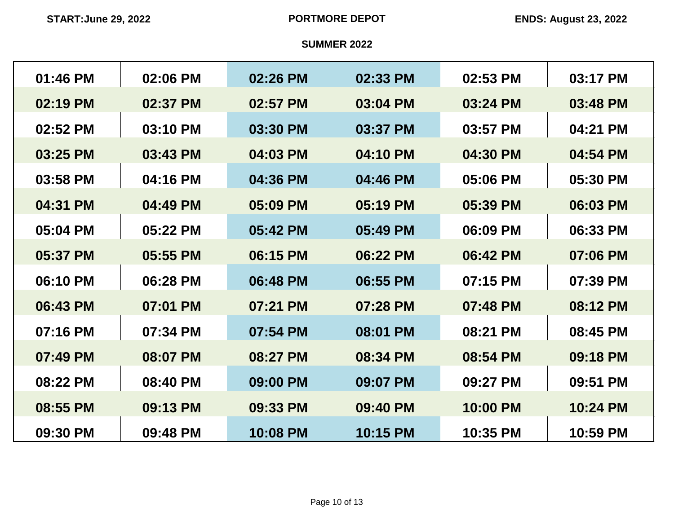| 01:46 PM | 02:06 PM | 02:26 PM | 02:33 PM | 02:53 PM | 03:17 PM |
|----------|----------|----------|----------|----------|----------|
| 02:19 PM | 02:37 PM | 02:57 PM | 03:04 PM | 03:24 PM | 03:48 PM |
| 02:52 PM | 03:10 PM | 03:30 PM | 03:37 PM | 03:57 PM | 04:21 PM |
| 03:25 PM | 03:43 PM | 04:03 PM | 04:10 PM | 04:30 PM | 04:54 PM |
| 03:58 PM | 04:16 PM | 04:36 PM | 04:46 PM | 05:06 PM | 05:30 PM |
| 04:31 PM | 04:49 PM | 05:09 PM | 05:19 PM | 05:39 PM | 06:03 PM |
| 05:04 PM | 05:22 PM | 05:42 PM | 05:49 PM | 06:09 PM | 06:33 PM |
| 05:37 PM | 05:55 PM | 06:15 PM | 06:22 PM | 06:42 PM | 07:06 PM |
| 06:10 PM | 06:28 PM | 06:48 PM | 06:55 PM | 07:15 PM | 07:39 PM |
| 06:43 PM | 07:01 PM | 07:21 PM | 07:28 PM | 07:48 PM | 08:12 PM |
| 07:16 PM | 07:34 PM | 07:54 PM | 08:01 PM | 08:21 PM | 08:45 PM |
| 07:49 PM | 08:07 PM | 08:27 PM | 08:34 PM | 08:54 PM | 09:18 PM |
| 08:22 PM | 08:40 PM | 09:00 PM | 09:07 PM | 09:27 PM | 09:51 PM |
| 08:55 PM | 09:13 PM | 09:33 PM | 09:40 PM | 10:00 PM | 10:24 PM |
| 09:30 PM | 09:48 PM | 10:08 PM | 10:15 PM | 10:35 PM | 10:59 PM |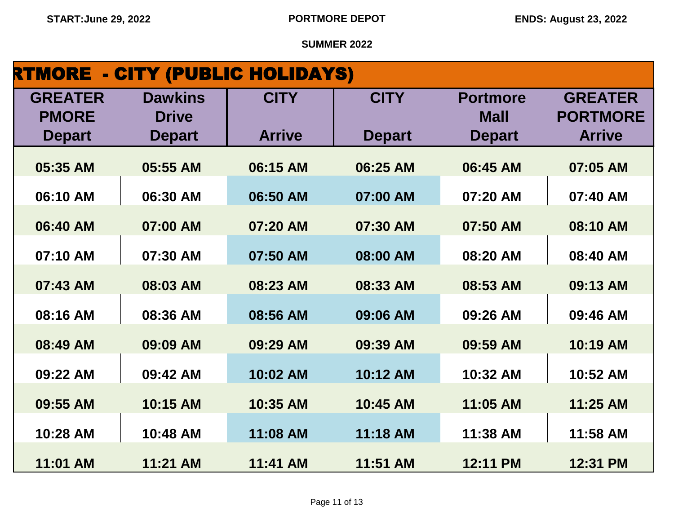| <b>RTMORE - CITY (PUBLIC HOLIDAYS)</b> |                |               |               |                 |                 |
|----------------------------------------|----------------|---------------|---------------|-----------------|-----------------|
| <b>GREATER</b>                         | <b>Dawkins</b> | <b>CITY</b>   | <b>CITY</b>   | <b>Portmore</b> | <b>GREATER</b>  |
| <b>PMORE</b>                           | <b>Drive</b>   |               |               | <b>Mall</b>     | <b>PORTMORE</b> |
| <b>Depart</b>                          | <b>Depart</b>  | <b>Arrive</b> | <b>Depart</b> | <b>Depart</b>   | <b>Arrive</b>   |
| 05:35 AM                               | 05:55 AM       | 06:15 AM      | 06:25 AM      | 06:45 AM        | 07:05 AM        |
| 06:10 AM                               | 06:30 AM       | 06:50 AM      | 07:00 AM      | 07:20 AM        | 07:40 AM        |
| 06:40 AM                               | 07:00 AM       | 07:20 AM      | 07:30 AM      | 07:50 AM        | 08:10 AM        |
| 07:10 AM                               | 07:30 AM       | 07:50 AM      | 08:00 AM      | 08:20 AM        | 08:40 AM        |
| 07:43 AM                               | 08:03 AM       | 08:23 AM      | 08:33 AM      | 08:53 AM        | 09:13 AM        |
| 08:16 AM                               | 08:36 AM       | 08:56 AM      | 09:06 AM      | 09:26 AM        | 09:46 AM        |
| 08:49 AM                               | 09:09 AM       | 09:29 AM      | 09:39 AM      | 09:59 AM        | 10:19 AM        |
| 09:22 AM                               | 09:42 AM       | 10:02 AM      | 10:12 AM      | 10:32 AM        | 10:52 AM        |
| 09:55 AM                               | 10:15 AM       | 10:35 AM      | 10:45 AM      | 11:05 AM        | 11:25 AM        |
| 10:28 AM                               | 10:48 AM       | 11:08 AM      | 11:18 AM      | 11:38 AM        | 11:58 AM        |
| 11:01 AM                               | 11:21 AM       | 11:41 AM      | 11:51 AM      | 12:11 PM        | 12:31 PM        |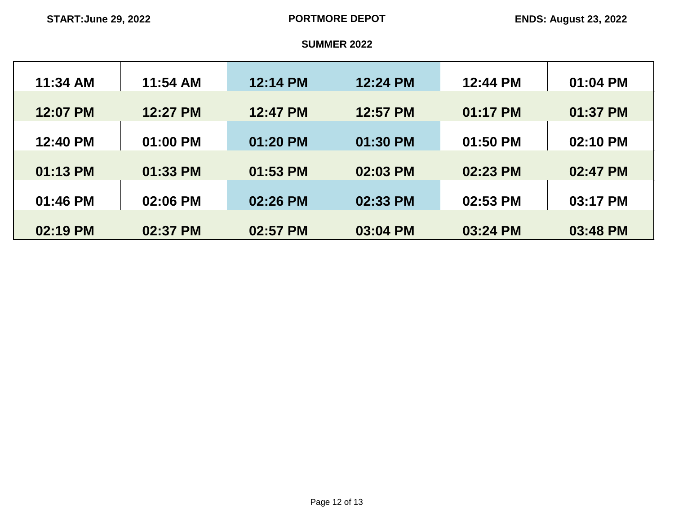| 11:34 AM | 11:54 AM | 12:14 PM | 12:24 PM | 12:44 PM | 01:04 PM |
|----------|----------|----------|----------|----------|----------|
| 12:07 PM | 12:27 PM | 12:47 PM | 12:57 PM | 01:17 PM | 01:37 PM |
| 12:40 PM | 01:00 PM | 01:20 PM | 01:30 PM | 01:50 PM | 02:10 PM |
| 01:13 PM | 01:33 PM | 01:53 PM | 02:03 PM | 02:23 PM | 02:47 PM |
| 01:46 PM | 02:06 PM | 02:26 PM | 02:33 PM | 02:53 PM | 03:17 PM |
| 02:19 PM | 02:37 PM | 02:57 PM | 03:04 PM | 03:24 PM | 03:48 PM |